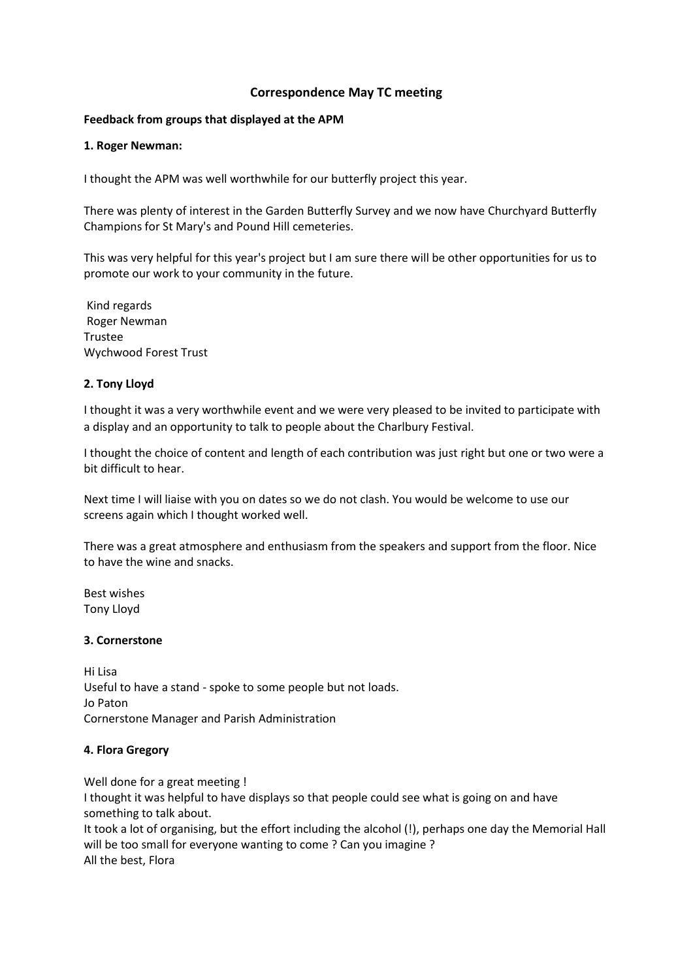### **Correspondence May TC meeting**

#### **Feedback from groups that displayed at the APM**

#### **1. Roger Newman:**

I thought the APM was well worthwhile for our butterfly project this year.

There was plenty of interest in the Garden Butterfly Survey and we now have Churchyard Butterfly Champions for St Mary's and Pound Hill cemeteries.

This was very helpful for this year's project but I am sure there will be other opportunities for us to promote our work to your community in the future.

Kind regards Roger Newman Trustee Wychwood Forest Trust

### **2. Tony Lloyd**

I thought it was a very worthwhile event and we were very pleased to be invited to participate with a display and an opportunity to talk to people about the Charlbury Festival.

I thought the choice of content and length of each contribution was just right but one or two were a bit difficult to hear.

Next time I will liaise with you on dates so we do not clash. You would be welcome to use our screens again which I thought worked well.

There was a great atmosphere and enthusiasm from the speakers and support from the floor. Nice to have the wine and snacks.

Best wishes Tony Lloyd

### **3. Cornerstone**

Hi Lisa Useful to have a stand - spoke to some people but not loads. Jo Paton Cornerstone Manager and Parish Administration

### **4. Flora Gregory**

Well done for a great meeting ! I thought it was helpful to have displays so that people could see what is going on and have something to talk about. It took a lot of organising, but the effort including the alcohol (!), perhaps one day the Memorial Hall will be too small for everyone wanting to come ? Can you imagine ?

All the best, Flora